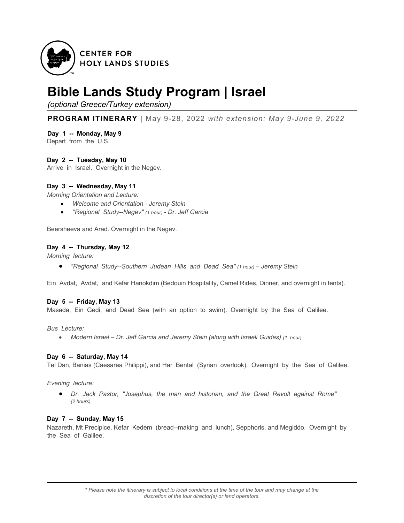

# **Bible Lands Study Program | Israel**

*(optional Greece/Turkey extension)*

**PROGRAM ITINERARY** | May 9-28, 2022 *with extension: May 9-June 9, 2022*

**Day 1 -- Monday, May 9** Depart from the U.S.

# **Day 2 -- Tuesday, May 10**

Arrive in Israel. Overnight in the Negev.

# **Day 3 -- Wednesday, May 11**

*Morning Orientation and Lecture:* 

- *Welcome and Orientation - Jeremy Stein*
- *"Regional Study--Negev" (1 hour) - Dr. Jeff Garcia*

Beersheeva and Arad. Overnight in the Negev.

# **Day 4 -- Thursday, May 12**

*Morning lecture:* 

• *"Regional Study--Southern Judean Hills and Dead Sea" (1 hour) – Jeremy Stein*

Ein Avdat, Avdat, and Kefar Hanokdim (Bedouin Hospitality, Camel Rides, Dinner, and overnight in tents).

# **Day 5 -- Friday, May 13**

Masada, Ein Gedi, and Dead Sea (with an option to swim). Overnight by the Sea of Galilee.

*Bus Lecture:* 

• *Modern Israel – Dr. Jeff Garcia and Jeremy Stein (along with Israeli Guides) (1 hour)* 

# **Day 6 -- Saturday, May 14**

Tel Dan, Banias (Caesarea Philippi), and Har Bental (Syrian overlook). Overnight by the Sea of Galilee.

*Evening lecture:* 

• *Dr. Jack Pastor, "Josephus, the man and historian, and the Great Revolt against Rome" (2 hours)* 

# **Day 7 -- Sunday, May 15**

Nazareth, Mt Precipice, Kefar Kedem (bread--making and lunch), Sepphoris, and Megiddo. Overnight by the Sea of Galilee.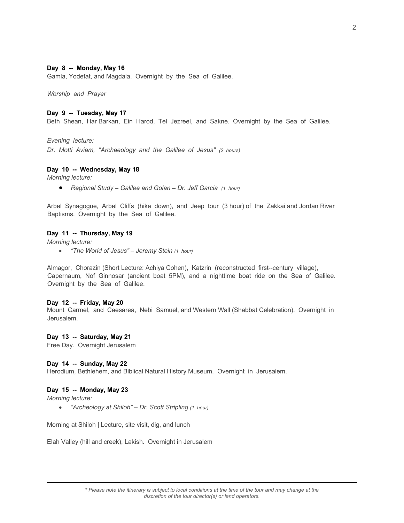## **Day 8 -- Monday, May 16**

Gamla, Yodefat, and Magdala. Overnight by the Sea of Galilee.

*Worship and Prayer*

#### **Day 9 -- Tuesday, May 17**

Beth Shean, Har Barkan, Ein Harod, Tel Jezreel, and Sakne. Overnight by the Sea of Galilee.

*Evening lecture:* 

*Dr. Motti Aviam, "Archaeology and the Galilee of Jesus" (2 hours)* 

#### **Day 10 -- Wednesday, May 18**

*Morning lecture:* 

• *Regional Study – Galilee and Golan – Dr. Jeff Garcia (1 hour)* 

Arbel Synagogue, Arbel Cliffs (hike down), and Jeep tour (3 hour) of the Zakkai and Jordan River Baptisms. Overnight by the Sea of Galilee.

#### **Day 11 -- Thursday, May 19**

*Morning lecture:* 

• *"The World of Jesus" – Jeremy Stein (1 hour)* 

Almagor, Chorazin (Short Lecture: Achiya Cohen), Katzrin (reconstructed first--century village), Capernaum, Nof Ginnosar (ancient boat 5PM), and a nighttime boat ride on the Sea of Galilee. Overnight by the Sea of Galilee.

#### **Day 12 -- Friday, May 20**

Mount Carmel, and Caesarea, Nebi Samuel, and Western Wall (Shabbat Celebration). Overnight in Jerusalem.

#### **Day 13 -- Saturday, May 21**

Free Day. Overnight Jerusalem

#### **Day 14 -- Sunday, May 22**

Herodium, Bethlehem, and Biblical Natural History Museum. Overnight in Jerusalem.

# **Day 15 -- Monday, May 23**

*Morning lecture:* 

• *"Archeology at Shiloh" – Dr. Scott Stripling (1 hour)* 

Morning at Shiloh | Lecture, site visit, dig, and lunch

Elah Valley (hill and creek), Lakish. Overnight in Jerusalem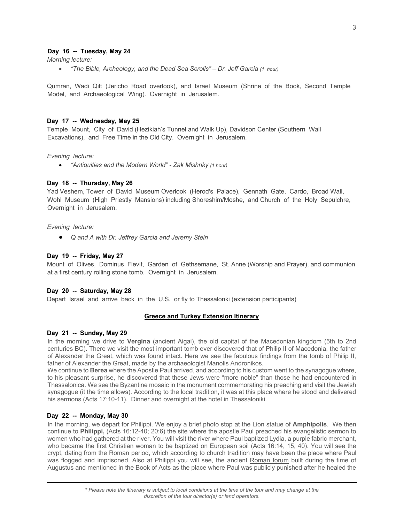# **Day 16 -- Tuesday, May 24**

*Morning lecture:* 

• *"The Bible, Archeology, and the Dead Sea Scrolls" – Dr. Jeff Garcia (1 hour)* 

Qumran, Wadi Qilt (Jericho Road overlook), and Israel Museum (Shrine of the Book, Second Temple Model, and Archaeological Wing). Overnight in Jerusalem.

#### **Day 17 -- Wednesday, May 25**

Temple Mount, City of David (Hezikiah's Tunnel and Walk Up), Davidson Center (Southern Wall Excavations), and Free Time in the Old City. Overnight in Jerusalem.

#### *Evening lecture:*

• *"Antiquities and the Modern World" - Zak Mishriky (1 hour)*

#### **Day 18 -- Thursday, May 26**

Yad Veshem, Tower of David Museum Overlook (Herod's Palace), Gennath Gate, Cardo, Broad Wall, Wohl Museum (High Priestly Mansions) including Shoreshim/Moshe, and Church of the Holy Sepulchre, Overnight in Jerusalem.

#### *Evening lecture:*

• *Q and A with Dr. Jeffrey Garcia and Jeremy Stein*

#### **Day 19 -- Friday, May 27**

Mount of Olives, Dominus Flevit, Garden of Gethsemane, St. Anne (Worship and Prayer), and communion at a first century rolling stone tomb. Overnight in Jerusalem.

#### **Day 20 -- Saturday, May 28**

Depart Israel and arrive back in the U.S. or fly to Thessalonki (extension participants)

## **Greece and Turkey Extension Itinerary**

#### **Day 21 -- Sunday, May 29**

In the morning we drive to **Vergina** (ancient Aigai), the old capital of the Macedonian kingdom (5th to 2nd centuries BC). There we visit the most important tomb ever discovered that of Philip II of Macedonia, the father of Alexander the Great, which was found intact. Here we see the fabulous findings from the tomb of Philip II, father of Alexander the Great, made by the archaeologist Manolis Andronikos.

We continue to **Berea** where the Apostle Paul arrived, and according to his custom went to the synagogue where, to his pleasant surprise, he discovered that these Jews were "more noble" than those he had encountered in Thessalonica. We see the Byzantine mosaic in the monument commemorating his preaching and visit the Jewish synagogue (it the time allows). According to the local tradition, it was at this place where he stood and delivered his sermons (Acts 17:10-11). Dinner and overnight at the hotel in Thessaloniki.

#### **Day 22 -- Monday, May 30**

In the morning, we depart for Philippi. We enjoy a brief photo stop at the Lion statue of **Amphipolis**. We then continue to **Philippi,** (Acts 16:12-40; 20:6) the site where the apostle Paul preached his evangelistic sermon to women who had gathered at the river. You will visit the river where Paul baptized Lydia, a purple fabric merchant, who became the first Christian woman to be baptized on European soil (Acts 16:14, 15, 40). You will see the crypt, dating from the Roman period, which according to church tradition may have been the place where Paul was flogged and imprisoned. Also at Philippi you will see, the ancient Roman forum built during the time of Augustus and mentioned in the Book of Acts as the place where Paul was publicly punished after he healed the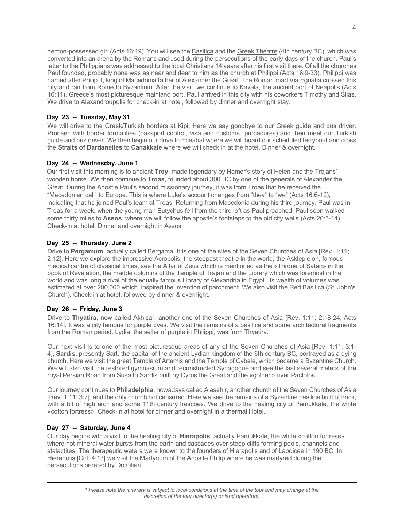demon-possessed girl (Acts 16:19). You will see the Basilica and the Greek Theatre (4th century BC), which was converted into an arena by the Romans and used during the persecutions of the early days of the church. Paul's letter to the Philippians was addressed to the local Christians 14 years after his first visit there. Of all the churches Paul founded, probably none was as near and dear to him as the church at Philippi (Acts 16:9-33). Philippi was named after Philip II, king of Macedonia father of Alexander the Great. The Roman road Via Egnatia crossed this city and ran from Rome to Byzantium. After the visit, we continue to Kavala, the ancient port of Neapolis (Acts 16:11), Greece's most picturesque mainland port. Paul arrived in this city with his coworkers Timothy and Silas. We drive to Alexandroupolis for check-in at hotel, followed by dinner and overnight stay.

# **Day 23 -- Tuesday, May 31**

We will drive to the Greek/Turkish borders at Kipi. Here we say goodbye to our Greek guide and bus driver. Proceed with border formalities (passport control, visa and customs procedures) and then meet our Turkish guide and bus driver. We then begin our drive to Eceabat where we will board our scheduled ferryboat and cross the **Straits of Dardanelles** to **Canakkale** where we will check in at the hotel. Dinner & overnight.

# **Day 24 -- Wednesday, June 1**

Our first visit this morning is to ancient **Troy**, made legendary by Homer's story of Helen and the Trojans' wooden horse. We then continue to **Troas**, founded about 300 BC by one of the generals of Alexander the Great. During the Apostle Paul's second missionary journey, it was from Troas that he received the "Macedonian call" to Europe. This is where Luke's account changes from "they" to "we" (Acts 16:6-12), indicating that he joined Paul's team at Troas. Returning from Macedonia during his third journey, Paul was in Troas for a week, when the young man Eutychus fell from the third loft as Paul preached. Paul soon walked some thirty miles to **Assos**, where we will follow the apostle's footsteps to the old city walls (Acts 20:5-14). Check-in at hotel. Dinner and overnight in Assos.

# **Day 25 -- Thursday, June 2**

Drive to **Pergamum**, actually called Bergama. It is one of the sites of the Seven Churches of Asia [Rev. 1:11; 2:12]. Here we explore the impressive Acropolis, the steepest theatre in the world, the Asklepieion, famous medical centre of classical times, see the Altar of Zeus which is mentioned as the «Throne of Satan» in the book of Revelation, the marble columns of the Temple of Trajan and the Library which was foremost in the world and was long a rival of the equally famous Library of Alexandria in Egypt. Its wealth of volumes was estimated at over 200,000 which inspired the invention of parchment. We also visit the Red Basilica (St. John's Church). Check-in at hotel, followed by dinner & overnight.

# **Day 26 -- Friday, June 3**

Drive to **Thyatira**, now called Akhisar, another one of the Seven Churches of Asia [Rev. 1:11; 2:18-24; Acts 16:14]. It was a city famous for purple dyes. We visit the remains of a basilica and some architectural fragments from the Roman period. Lydia, the seller of purple in Philippi, was from Thyatira.

Our next visit is to one of the most picturesque areas of any of the Seven Churches of Asia [Rev. 1:11; 3:1- 4], **Sardis**, presently Sart, the capital of the ancient Lydian kingdom of the 6th century BC, portrayed as a dying church. Here we visit the great Temple of Artemis and the Temple of Cybele, which became a Byzantine Church. We will also visit the restored gymnasium and reconstructed Synagogue and see the last several meters of the royal Persian Road from Susa to Sardis built by Cyrus the Great and the «golden» river Pactolos.

Our journey continues to **Philadelphia**, nowadays called Alasehir, another church of the Seven Churches of Asia [Rev. 1:11; 3:7], and the only church not censured. Here we see the remains of a Byzantine basilica built of brick, with a bit of high arch and some 11th century frescoes. We drive to the healing city of Pamukkale, the white «cotton fortress». Check-in at hotel for dinner and overnight in a thermal Hotel.

# **Day 27 -- Saturday, June 4**

Our day begins with a visit to the healing city of **Hierapolis**, actually Pamukkale, the white «cotton fortress» where hot mineral water bursts from the earth and cascades over steep cliffs forming pools, channels and stalactites. The therapeutic waters were known to the founders of Hierapolis and of Laodicea in 190 BC. In Hierapolis [Col. 4:13] we visit the Martyrium of the Apostle Philip where he was martyred during the persecutions ordered by Domitian.